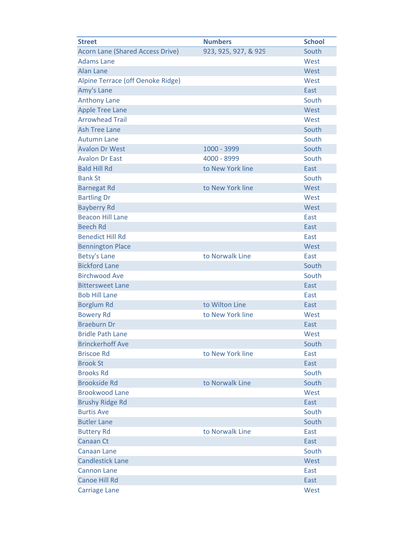| <b>Street</b>                           | <b>Numbers</b>       | <b>School</b> |
|-----------------------------------------|----------------------|---------------|
| <b>Acorn Lane (Shared Access Drive)</b> | 923, 925, 927, & 929 | South         |
| <b>Adams Lane</b>                       |                      | West          |
| <b>Alan Lane</b>                        |                      | West          |
| Alpine Terrace (off Oenoke Ridge)       |                      | West          |
| Amy's Lane                              |                      | East          |
| <b>Anthony Lane</b>                     |                      | South         |
| <b>Apple Tree Lane</b>                  |                      | West          |
| <b>Arrowhead Trail</b>                  |                      | West          |
| <b>Ash Tree Lane</b>                    |                      | South         |
| <b>Autumn Lane</b>                      |                      | South         |
| <b>Avalon Dr West</b>                   | 1000 - 3999          | South         |
| <b>Avalon Dr East</b>                   | 4000 - 8999          | South         |
| <b>Bald Hill Rd</b>                     | to New York line     | East          |
| <b>Bank St</b>                          |                      | South         |
| <b>Barnegat Rd</b>                      | to New York line     | West          |
| <b>Bartling Dr</b>                      |                      | West          |
| <b>Bayberry Rd</b>                      |                      | West          |
| <b>Beacon Hill Lane</b>                 |                      | East          |
| <b>Beech Rd</b>                         |                      | East          |
| <b>Benedict Hill Rd</b>                 |                      | East          |
| <b>Bennington Place</b>                 |                      | West          |
| <b>Betsy's Lane</b>                     | to Norwalk Line      | East          |
| <b>Bickford Lane</b>                    |                      | South         |
| <b>Birchwood Ave</b>                    |                      | South         |
| <b>Bittersweet Lane</b>                 |                      | East          |
| <b>Bob Hill Lane</b>                    |                      | East          |
| <b>Borglum Rd</b>                       | to Wilton Line       | East          |
| <b>Bowery Rd</b>                        | to New York line     | West          |
| <b>Braeburn Dr</b>                      |                      | East          |
| <b>Bridle Path Lane</b>                 |                      | West          |
| <b>Brinckerhoff Ave</b>                 |                      | South         |
| <b>Briscoe Rd</b>                       | to New York line     | East          |
| <b>Brook St</b>                         |                      | East          |
| <b>Brooks Rd</b>                        |                      | South         |
| <b>Brookside Rd</b>                     | to Norwalk Line      | South         |
| <b>Brookwood Lane</b>                   |                      | West          |
| <b>Brushy Ridge Rd</b>                  |                      | East          |
| <b>Burtis Ave</b>                       |                      | South         |
| <b>Butler Lane</b>                      |                      | South         |
| <b>Buttery Rd</b>                       | to Norwalk Line      | East          |
| <b>Canaan Ct</b>                        |                      | East          |
| <b>Canaan Lane</b>                      |                      | South         |
| <b>Candlestick Lane</b>                 |                      | West          |
| <b>Cannon Lane</b>                      |                      | East          |
| <b>Canoe Hill Rd</b>                    |                      | East          |
| <b>Carriage Lane</b>                    |                      | West          |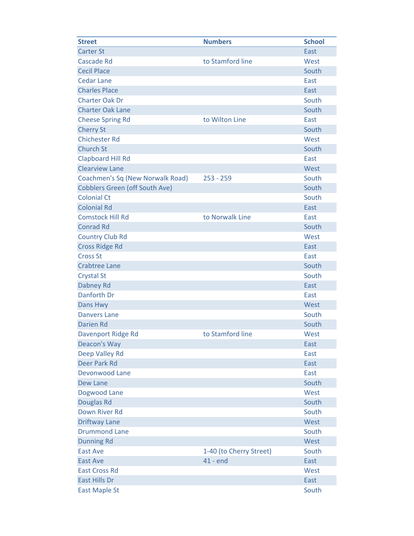| <b>Street</b>                         | <b>Numbers</b>          | <b>School</b> |
|---------------------------------------|-------------------------|---------------|
| <b>Carter St</b>                      |                         | East          |
| <b>Cascade Rd</b>                     | to Stamford line        | West          |
| <b>Cecil Place</b>                    |                         | South         |
| <b>Cedar Lane</b>                     |                         | East          |
| <b>Charles Place</b>                  |                         | East          |
| <b>Charter Oak Dr</b>                 |                         | South         |
| <b>Charter Oak Lane</b>               |                         | South         |
| <b>Cheese Spring Rd</b>               | to Wilton Line          | East          |
| <b>Cherry St</b>                      |                         | South         |
| <b>Chichester Rd</b>                  |                         | West          |
| <b>Church St</b>                      |                         | South         |
| <b>Clapboard Hill Rd</b>              |                         | East          |
| <b>Clearview Lane</b>                 |                         | West          |
| Coachmen's Sq (New Norwalk Road)      | $253 - 259$             | South         |
| <b>Cobblers Green (off South Ave)</b> |                         | South         |
| <b>Colonial Ct</b>                    |                         | South         |
| <b>Colonial Rd</b>                    |                         | East          |
| <b>Comstock Hill Rd</b>               | to Norwalk Line         | East          |
| <b>Conrad Rd</b>                      |                         | South         |
| <b>Country Club Rd</b>                |                         | West          |
| <b>Cross Ridge Rd</b>                 |                         | East          |
| <b>Cross St</b>                       |                         | East          |
| <b>Crabtree Lane</b>                  |                         | South         |
| <b>Crystal St</b>                     |                         | South         |
| Dabney Rd                             |                         | East          |
| Danforth Dr                           |                         | East          |
| Dans Hwy                              |                         | West          |
| <b>Danvers Lane</b>                   |                         | South         |
| <b>Darien Rd</b>                      |                         | South         |
| Davenport Ridge Rd                    | to Stamford line        | West          |
| <b>Deacon's Way</b>                   |                         | East          |
| Deep Valley Rd                        |                         | East          |
| <b>Deer Park Rd</b>                   |                         | East          |
| <b>Devonwood Lane</b>                 |                         | East          |
| <b>Dew Lane</b>                       |                         | South         |
| Dogwood Lane                          |                         | West          |
| Douglas Rd                            |                         | South         |
| <b>Down River Rd</b>                  |                         | South         |
| <b>Driftway Lane</b>                  |                         | West          |
| <b>Drummond Lane</b>                  |                         | South         |
| <b>Dunning Rd</b>                     |                         | West          |
| <b>East Ave</b>                       | 1-40 (to Cherry Street) | South         |
| <b>East Ave</b>                       | $41 - end$              | East          |
| <b>East Cross Rd</b>                  |                         | West          |
| <b>East Hills Dr</b>                  |                         | East          |
| <b>East Maple St</b>                  |                         | South         |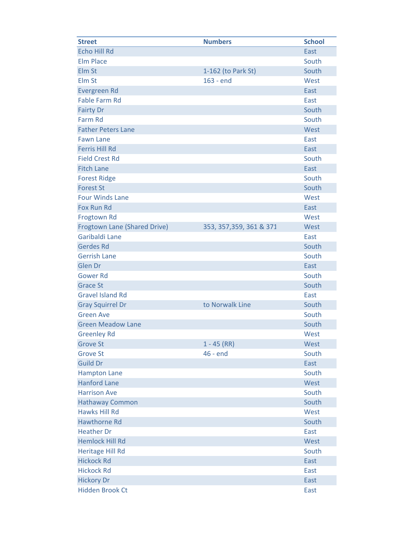| <b>Street</b>                       | <b>Numbers</b>           | <b>School</b> |
|-------------------------------------|--------------------------|---------------|
| <b>Echo Hill Rd</b>                 |                          | East          |
| <b>Elm Place</b>                    |                          | South         |
| Elm St                              | 1-162 (to Park St)       | South         |
| Elm St                              | 163 - end                | West          |
| <b>Evergreen Rd</b>                 |                          | East          |
| <b>Fable Farm Rd</b>                |                          | East          |
| <b>Fairty Dr</b>                    |                          | South         |
| <b>Farm Rd</b>                      |                          | South         |
| <b>Father Peters Lane</b>           |                          | West          |
| <b>Fawn Lane</b>                    |                          | East          |
| <b>Ferris Hill Rd</b>               |                          | East          |
| <b>Field Crest Rd</b>               |                          | South         |
| <b>Fitch Lane</b>                   |                          | East          |
| <b>Forest Ridge</b>                 |                          | South         |
| <b>Forest St</b>                    |                          | South         |
| <b>Four Winds Lane</b>              |                          | West          |
| Fox Run Rd                          |                          | East          |
| Frogtown Rd                         |                          | West          |
| <b>Frogtown Lane (Shared Drive)</b> | 353, 357, 359, 361 & 371 | West          |
| Garibaldi Lane                      |                          | East          |
| <b>Gerdes Rd</b>                    |                          | South         |
| <b>Gerrish Lane</b>                 |                          | South         |
| Glen Dr                             |                          | East          |
| <b>Gower Rd</b>                     |                          | South         |
| <b>Grace St</b>                     |                          | South         |
| <b>Gravel Island Rd</b>             |                          | East          |
| <b>Gray Squirrel Dr</b>             | to Norwalk Line          | South         |
| <b>Green Ave</b>                    |                          | South         |
| <b>Green Meadow Lane</b>            |                          | South         |
| <b>Greenley Rd</b>                  |                          | West          |
| <b>Grove St</b>                     | $1 - 45$ (RR)            | West          |
| <b>Grove St</b>                     | 46 - end                 | South         |
| <b>Guild Dr</b>                     |                          | East          |
| <b>Hampton Lane</b>                 |                          | South         |
| <b>Hanford Lane</b>                 |                          | West          |
| <b>Harrison Ave</b>                 |                          | South         |
| <b>Hathaway Common</b>              |                          | South         |
| <b>Hawks Hill Rd</b>                |                          | West          |
| <b>Hawthorne Rd</b>                 |                          | South         |
| <b>Heather Dr</b>                   |                          | East          |
| <b>Hemlock Hill Rd</b>              |                          | West          |
| <b>Heritage Hill Rd</b>             |                          | South         |
| <b>Hickock Rd</b>                   |                          | East          |
| <b>Hickock Rd</b>                   |                          | East          |
| <b>Hickory Dr</b>                   |                          | <b>East</b>   |
| <b>Hidden Brook Ct</b>              |                          | East          |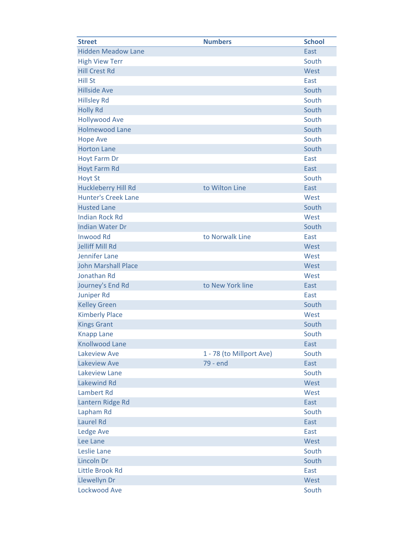| <b>Street</b>              | <b>Numbers</b>           | <b>School</b> |
|----------------------------|--------------------------|---------------|
| <b>Hidden Meadow Lane</b>  |                          | East          |
| <b>High View Terr</b>      |                          | South         |
| <b>Hill Crest Rd</b>       |                          | West          |
| <b>Hill St</b>             |                          | East          |
| <b>Hillside Ave</b>        |                          | South         |
| <b>Hillsley Rd</b>         |                          | South         |
| <b>Holly Rd</b>            |                          | South         |
| <b>Hollywood Ave</b>       |                          | South         |
| <b>Holmewood Lane</b>      |                          | South         |
| <b>Hope Ave</b>            |                          | South         |
| <b>Horton Lane</b>         |                          | South         |
| <b>Hoyt Farm Dr</b>        |                          | East          |
| <b>Hoyt Farm Rd</b>        |                          | East          |
| <b>Hoyt St</b>             |                          | South         |
| <b>Huckleberry Hill Rd</b> | to Wilton Line           | East          |
| <b>Hunter's Creek Lane</b> |                          | West          |
| <b>Husted Lane</b>         |                          | South         |
| <b>Indian Rock Rd</b>      |                          | West          |
| <b>Indian Water Dr</b>     |                          | South         |
| <b>Inwood Rd</b>           | to Norwalk Line          | East          |
| <b>Jelliff Mill Rd</b>     |                          | West          |
| Jennifer Lane              |                          | West          |
| <b>John Marshall Place</b> |                          | West          |
| <b>Jonathan Rd</b>         |                          | West          |
| Journey's End Rd           | to New York line         | East          |
| <b>Juniper Rd</b>          |                          | East          |
| <b>Kelley Green</b>        |                          | South         |
| <b>Kimberly Place</b>      |                          | West          |
| <b>Kings Grant</b>         |                          | South         |
| <b>Knapp Lane</b>          |                          | South         |
| <b>Knollwood Lane</b>      |                          | East          |
| Lakeview Ave               | 1 - 78 (to Millport Ave) | South         |
| Lakeview Ave               | 79 - end                 | East          |
| Lakeview Lane              |                          | South         |
| <b>Lakewind Rd</b>         |                          | West          |
| Lambert Rd                 |                          | West          |
| Lantern Ridge Rd           |                          | East          |
| Lapham Rd                  |                          | South         |
| Laurel Rd                  |                          | East          |
| <b>Ledge Ave</b>           |                          | East          |
| Lee Lane                   |                          | West          |
| Leslie Lane                |                          | South         |
| Lincoln Dr                 |                          | South         |
| <b>Little Brook Rd</b>     |                          | East          |
| <b>Llewellyn Dr</b>        |                          | West          |
| <b>Lockwood Ave</b>        |                          | South         |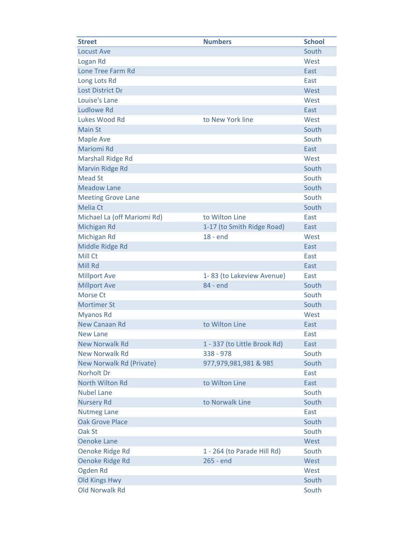| <b>Street</b>                   | <b>Numbers</b>               | <b>School</b> |
|---------------------------------|------------------------------|---------------|
| <b>Locust Ave</b>               |                              | South         |
| Logan Rd                        |                              | West          |
| Lone Tree Farm Rd               |                              | East          |
| Long Lots Rd                    |                              | East          |
| Lost District Dr                |                              | West          |
| Louise's Lane                   |                              | West          |
| <b>Ludlowe Rd</b>               |                              | East          |
| Lukes Wood Rd                   | to New York line             | West          |
| <b>Main St</b>                  |                              | South         |
| <b>Maple Ave</b>                |                              | South         |
| <b>Mariomi Rd</b>               |                              | East          |
| <b>Marshall Ridge Rd</b>        |                              | West          |
| <b>Marvin Ridge Rd</b>          |                              | South         |
| <b>Mead St</b>                  |                              | South         |
| <b>Meadow Lane</b>              |                              | South         |
| <b>Meeting Grove Lane</b>       |                              | South         |
| <b>Melia Ct</b>                 |                              | South         |
| Michael La (off Mariomi Rd)     | to Wilton Line               | East          |
| Michigan Rd                     | 1-17 (to Smith Ridge Road)   | East          |
| Michigan Rd                     | $18 - end$                   | West          |
| Middle Ridge Rd                 |                              | East          |
| Mill Ct                         |                              | East          |
| Mill Rd                         |                              | East          |
| <b>Millport Ave</b>             | 1-83 (to Lakeview Avenue)    | East          |
| <b>Millport Ave</b>             | 84 - end                     | South         |
| Morse Ct                        |                              | South         |
| <b>Mortimer St</b>              |                              | South         |
| <b>Myanos Rd</b>                |                              | West          |
| <b>New Canaan Rd</b>            | to Wilton Line               | East          |
| <b>New Lane</b>                 |                              | East          |
| <b>New Norwalk Rd</b>           | 1 - 337 (to Little Brook Rd) | East          |
| <b>New Norwalk Rd</b>           | 338 - 978                    | South         |
| <b>New Norwalk Rd (Private)</b> | 977,979,981,981 & 985        | South         |
| Norholt Dr                      |                              | East          |
| North Wilton Rd                 | to Wilton Line               | East          |
| <b>Nubel Lane</b>               |                              | South         |
| <b>Nursery Rd</b>               | to Norwalk Line              | South         |
| <b>Nutmeg Lane</b>              |                              | East          |
| <b>Oak Grove Place</b>          |                              | South         |
| Oak St                          |                              | South         |
| <b>Oenoke Lane</b>              |                              | West          |
| Oenoke Ridge Rd                 | 1 - 264 (to Parade Hill Rd)  | South         |
| Oenoke Ridge Rd                 | 265 - end                    | West          |
| Ogden Rd                        |                              | West          |
| <b>Old Kings Hwy</b>            |                              | South         |
| <b>Old Norwalk Rd</b>           |                              | South         |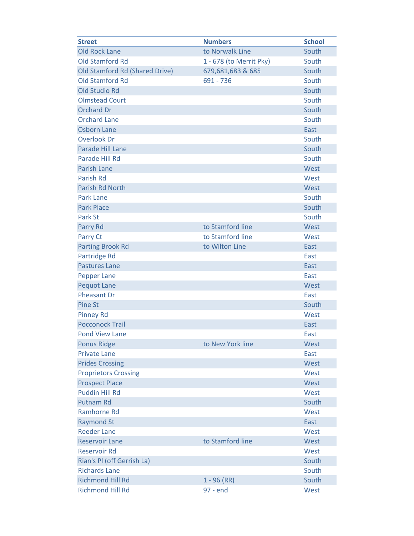| <b>Street</b>                  | <b>Numbers</b>          | <b>School</b> |
|--------------------------------|-------------------------|---------------|
| <b>Old Rock Lane</b>           | to Norwalk Line         | South         |
| <b>Old Stamford Rd</b>         | 1 - 678 (to Merrit Pky) | South         |
| Old Stamford Rd (Shared Drive) | 679,681,683 & 685       | South         |
| <b>Old Stamford Rd</b>         | 691 - 736               | South         |
| <b>Old Studio Rd</b>           |                         | South         |
| <b>Olmstead Court</b>          |                         | South         |
| <b>Orchard Dr</b>              |                         | South         |
| <b>Orchard Lane</b>            |                         | South         |
| <b>Osborn Lane</b>             |                         | East          |
| <b>Overlook Dr</b>             |                         | South         |
| Parade Hill Lane               |                         | South         |
| Parade Hill Rd                 |                         | South         |
| <b>Parish Lane</b>             |                         | West          |
| Parish Rd                      |                         | West          |
| <b>Parish Rd North</b>         |                         | West          |
| <b>Park Lane</b>               |                         | South         |
| <b>Park Place</b>              |                         | South         |
| Park St                        |                         | South         |
| Parry Rd                       | to Stamford line        | West          |
| Parry Ct                       | to Stamford line        | West          |
| <b>Parting Brook Rd</b>        | to Wilton Line          | East          |
| Partridge Rd                   |                         | East          |
| <b>Pastures Lane</b>           |                         | East          |
| <b>Pepper Lane</b>             |                         | East          |
| <b>Pequot Lane</b>             |                         | West          |
| <b>Pheasant Dr</b>             |                         | East          |
| <b>Pine St</b>                 |                         | South         |
| <b>Pinney Rd</b>               |                         | West          |
| <b>Pocconock Trail</b>         |                         | East          |
| <b>Pond View Lane</b>          |                         | East          |
| <b>Ponus Ridge</b>             | to New York line        | West          |
| <b>Private Lane</b>            |                         | East          |
| <b>Prides Crossing</b>         |                         | West          |
| <b>Proprietors Crossing</b>    |                         | West          |
| <b>Prospect Place</b>          |                         | West          |
| <b>Puddin Hill Rd</b>          |                         | West          |
| <b>Putnam Rd</b>               |                         | South         |
| <b>Ramhorne Rd</b>             |                         | West          |
| <b>Raymond St</b>              |                         | East          |
| <b>Reeder Lane</b>             |                         | West          |
| <b>Reservoir Lane</b>          | to Stamford line        | West          |
| <b>Reservoir Rd</b>            |                         | West          |
| Rian's PI (off Gerrish La)     |                         | South         |
| <b>Richards Lane</b>           |                         | South         |
| <b>Richmond Hill Rd</b>        | $1 - 96$ (RR)           | South         |
| <b>Richmond Hill Rd</b>        | 97 - end                | West          |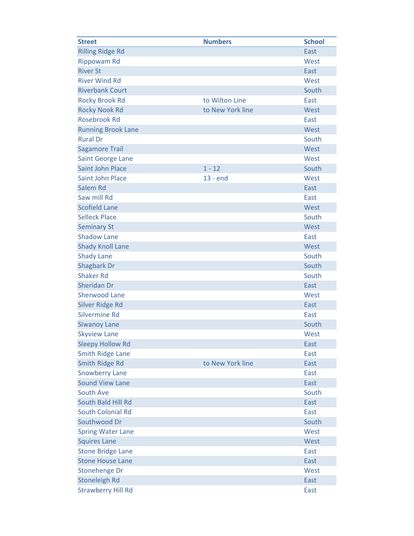| <b>Street</b>             | <b>Numbers</b>   | <b>School</b> |
|---------------------------|------------------|---------------|
| <b>Rilling Ridge Rd</b>   |                  | East          |
| <b>Rippowam Rd</b>        |                  | West          |
| <b>River St</b>           |                  | East          |
| <b>River Wind Rd</b>      |                  | West          |
| <b>Riverbank Court</b>    |                  | South         |
| <b>Rocky Brook Rd</b>     | to Wilton Line   | East          |
| <b>Rocky Nook Rd</b>      | to New York line | West          |
| <b>Rosebrook Rd</b>       |                  | East          |
| <b>Running Brook Lane</b> |                  | West          |
| <b>Rural Dr</b>           |                  | South         |
| <b>Sagamore Trail</b>     |                  | West          |
| Saint George Lane         |                  | West          |
| <b>Saint John Place</b>   | $1 - 12$         | South         |
| <b>Saint John Place</b>   | $13 - end$       | West          |
| Salem Rd                  |                  | East          |
| Saw mill Rd               |                  | East          |
| <b>Scofield Lane</b>      |                  | West          |
| <b>Selleck Place</b>      |                  | South         |
| <b>Seminary St</b>        |                  | West          |
| <b>Shadow Lane</b>        |                  | East          |
| <b>Shady Knoll Lane</b>   |                  | West          |
| <b>Shady Lane</b>         |                  | South         |
| <b>Shagbark Dr</b>        |                  | South         |
| <b>Shaker Rd</b>          |                  | South         |
| Sheridan Dr               |                  | East          |
| <b>Sherwood Lane</b>      |                  | West          |
| <b>Silver Ridge Rd</b>    |                  | East          |
| <b>Silvermine Rd</b>      |                  | East          |
| <b>Siwanoy Lane</b>       |                  | South         |
| <b>Skyview Lane</b>       |                  | West          |
| <b>Sleepy Hollow Rd</b>   |                  | East          |
| <b>Smith Ridge Lane</b>   |                  | East          |
| <b>Smith Ridge Rd</b>     | to New York line | East          |
| <b>Snowberry Lane</b>     |                  | East          |
| <b>Sound View Lane</b>    |                  | East          |
| South Ave                 |                  | South         |
| South Bald Hill Rd        |                  | East          |
| <b>South Colonial Rd</b>  |                  | East          |
| Southwood Dr              |                  | South         |
| <b>Spring Water Lane</b>  |                  | West          |
| <b>Squires Lane</b>       |                  | West          |
| <b>Stone Bridge Lane</b>  |                  | East          |
| <b>Stone House Lane</b>   |                  | East          |
| Stonehenge Dr             |                  | West          |
| <b>Stoneleigh Rd</b>      |                  | East          |
| <b>Strawberry Hill Rd</b> |                  | East          |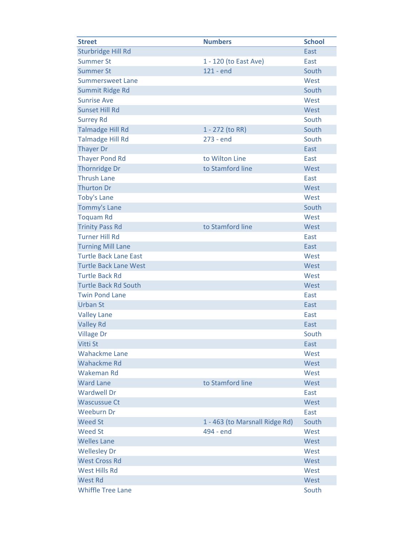| <b>Street</b>                | <b>Numbers</b>                 | <b>School</b> |
|------------------------------|--------------------------------|---------------|
| Sturbridge Hill Rd           |                                | East          |
| <b>Summer St</b>             | 1 - 120 (to East Ave)          | East          |
| <b>Summer St</b>             | 121 - end                      | South         |
| <b>Summersweet Lane</b>      |                                | West          |
| Summit Ridge Rd              |                                | South         |
| <b>Sunrise Ave</b>           |                                | West          |
| <b>Sunset Hill Rd</b>        |                                | West          |
| <b>Surrey Rd</b>             |                                | South         |
| <b>Talmadge Hill Rd</b>      | 1 - 272 (to RR)                | South         |
| <b>Talmadge Hill Rd</b>      | 273 - end                      | South         |
| <b>Thayer Dr</b>             |                                | East          |
| <b>Thayer Pond Rd</b>        | to Wilton Line                 | East          |
| <b>Thornridge Dr</b>         | to Stamford line               | West          |
| <b>Thrush Lane</b>           |                                | East          |
| <b>Thurton Dr</b>            |                                | West          |
| <b>Toby's Lane</b>           |                                | West          |
| <b>Tommy's Lane</b>          |                                | South         |
| <b>Toquam Rd</b>             |                                | West          |
| <b>Trinity Pass Rd</b>       | to Stamford line               | West          |
| <b>Turner Hill Rd</b>        |                                | East          |
| <b>Turning Mill Lane</b>     |                                | East          |
| <b>Turtle Back Lane East</b> |                                | West          |
| <b>Turtle Back Lane West</b> |                                | West          |
| <b>Turtle Back Rd</b>        |                                | West          |
| <b>Turtle Back Rd South</b>  |                                | West          |
| <b>Twin Pond Lane</b>        |                                | East          |
| <b>Urban St</b>              |                                | East          |
| <b>Valley Lane</b>           |                                | East          |
| <b>Valley Rd</b>             |                                | East          |
| <b>Village Dr</b>            |                                | South         |
| Vitti St                     |                                | East          |
| <b>Wahackme Lane</b>         |                                | West          |
| <b>Wahackme Rd</b>           |                                | West          |
| Wakeman Rd                   |                                | West          |
| <b>Ward Lane</b>             | to Stamford line               | West          |
| <b>Wardwell Dr</b>           |                                | East          |
| <b>Wascussue Ct</b>          |                                | West          |
| <b>Weeburn Dr</b>            |                                | East          |
| <b>Weed St</b>               | 1 - 463 (to Marsnall Ridge Rd) | South         |
| <b>Weed St</b>               | 494 - end                      | West          |
| <b>Welles Lane</b>           |                                | West          |
| <b>Wellesley Dr</b>          |                                | West          |
| <b>West Cross Rd</b>         |                                | West          |
| <b>West Hills Rd</b>         |                                | West          |
| <b>West Rd</b>               |                                | West          |
| <b>Whiffle Tree Lane</b>     |                                | South         |